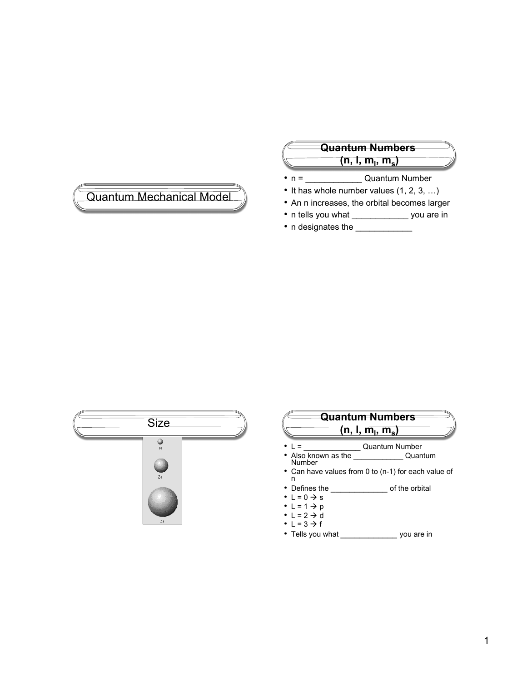# Quantum Mechanical Model

### **Quantum Numbers**  $(n, 1, m_{\rm l}, m_{\rm s})$

- n = \_\_\_\_\_\_\_\_\_\_\_\_ Quantum Number
- It has whole number values (1, 2, 3, …)
- An n increases, the orbital becomes larger
- n tells you what \_\_\_\_\_\_\_\_\_\_\_\_ you are in
- n designates the \_\_\_\_\_\_\_\_\_\_\_\_



| <b>Size</b>    | Quantum Numbers<br>(n, l, m $_{\textrm{\tiny{I}}},$ m $_{\textrm{\tiny{c}}}$ )                                                                    |                       |
|----------------|---------------------------------------------------------------------------------------------------------------------------------------------------|-----------------------|
| 1 <sub>3</sub> |                                                                                                                                                   | <b>Quantum Number</b> |
| 2s             | • Also known as the<br>Number<br>• Can have values from 0 to (n-1) for each value of<br>п                                                         | Quantum               |
| 3s             | • Defines the<br>$\cdot$ L = 0 $\rightarrow$ s<br>$\cdot$ L = 1 $\rightarrow$ p<br>$\cdot$ L = 2 $\rightarrow$ d<br>$\cdot$ L = 3 $\rightarrow$ f | of the orbital        |

• Tells you what \_\_\_\_\_\_\_\_\_\_\_\_\_\_\_ you are in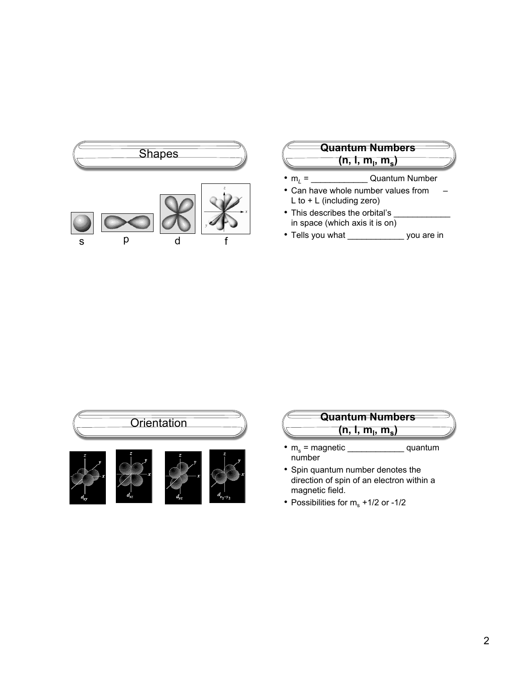

| Quantum Numbers<br>(n, l, m <sub>i</sub> , m <sub>s</sub> )        |  |
|--------------------------------------------------------------------|--|
| <b>Quantum Number</b><br>• $m_i =$                                 |  |
| • Can have whole number values from<br>L to $+$ L (including zero) |  |
| • This describes the orbital's<br>in space (which axis it is on)   |  |

• Tells you what \_\_\_\_\_\_\_\_\_\_\_\_ you are in



| Quantum Numbers |                        |          |  |
|-----------------|------------------------|----------|--|
|                 | $(n, 1, m_{1}, m_{2})$ |          |  |
|                 | $-$ monunation         | $ \sim $ |  |

- $m_s$  = magnetic  $\frac{1}{\frac{1}{1-\frac{1}{1-\frac{1}{1-\frac{1}{1-\frac{1}{1-\frac{1}{1-\frac{1}{1-\frac{1}{1-\frac{1}{1-\frac{1}{1-\frac{1}{1-\frac{1}{1-\frac{1}{1-\frac{1}{1-\frac{1}{1-\frac{1}{1-\frac{1}{1-\frac{1}{1-\frac{1}{1-\frac{1}{1-\frac{1}{1-\frac{1}{1-\frac{1}{1-\frac{1}{1-\frac{1}{1-\frac{1}{1-\frac{1}{1-\frac{1}{1-\frac{1}{1-\frac{1}{1-\frac{1}{1-\frac{1}{1-\frac{1}{$ number
- Spin quantum number denotes the direction of spin of an electron within a magnetic field.
- Possibilities for  $m_s + 1/2$  or -1/2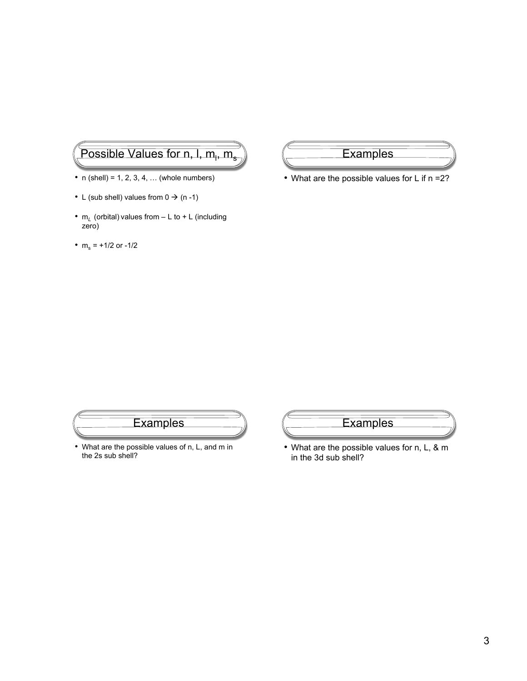## Possible Values for n, l, m<sub>i</sub>, m<sub>s</sub>

- $n$  (shell) = 1, 2, 3, 4, ... (whole numbers)
- L (sub shell) values from  $0 \rightarrow (n 1)$
- $m_l$  (orbital) values from  $-$  L to  $+$  L (including zero)
- $m_s = +1/2$  or  $-1/2$

**Examples** 

• What are the possible values for L if n =2?

**Examples** 

• What are the possible values of n, L, and m in the 2s sub shell?



• What are the possible values for n, L, & m in the 3d sub shell?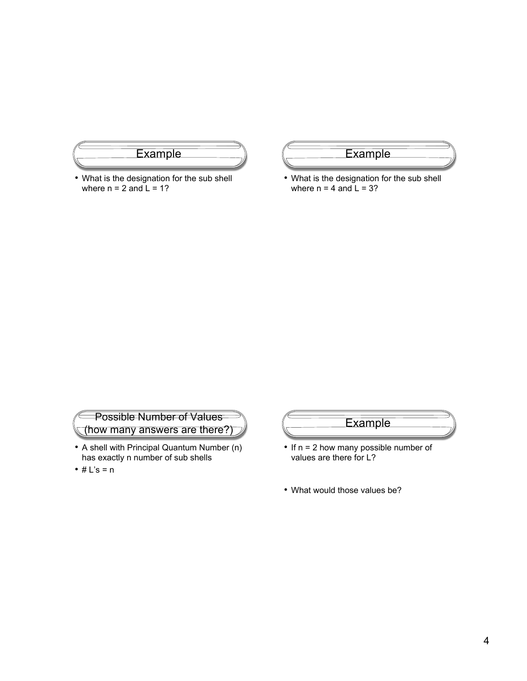

• What is the designation for the sub shell where  $n = 2$  and  $L = 1$ ?

• What is the designation for the sub shell where  $n = 4$  and  $L = 3$ ?

### Possible Number of Values (how many answers are there?)

- A shell with Principal Quantum Number (n) has exactly n number of sub shells
- $# L's = n$



- If n = 2 how many possible number of values are there for L?
- What would those values be?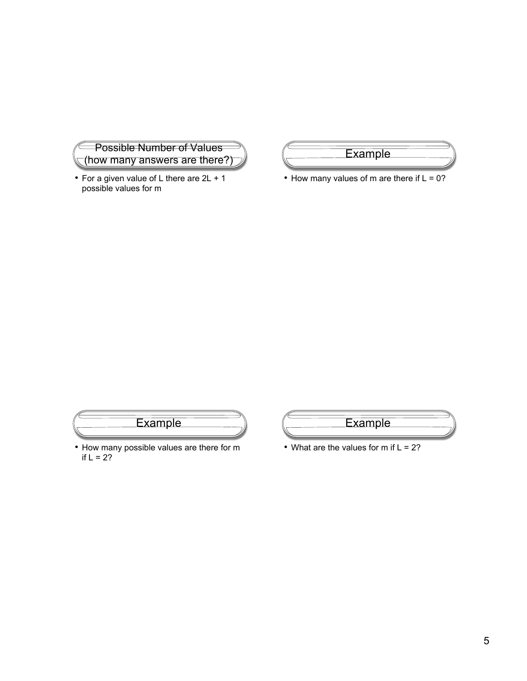

• For a given value of L there are 2L + 1 possible values for m



 $\bullet$  How many values of m are there if  $L = 0$ ?



• How many possible values are there for m if  $L = 2$ ?



• What are the values for m if  $L = 2$ ?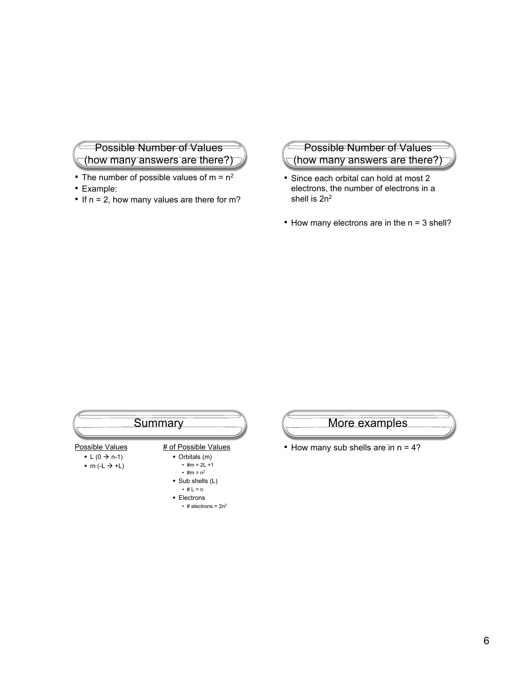#### **Possible Number of Values** (how many answers are there?)

- The number of possible values of  $m = n^2$
- Example:
- If n = 2, how many values are there for m?

#### Possible Number of Values (how many answers are there?)

- Since each orbital can hold at most 2 electrons, the number of electrons in a shell is 2n<sup>2</sup>
- How many electrons are in the n = 3 shell?

| Summary                                |                                       |  |
|----------------------------------------|---------------------------------------|--|
| Possible Values                        | # of Possible Values                  |  |
| $\blacksquare$ L (0 $\rightarrow$ n-1) | $\blacksquare$ Orbitals (m)           |  |
| $m(-L \rightarrow +L)$                 | $\cdot$ #m = 2L +1                    |  |
|                                        | • # $m = n^2$                         |  |
|                                        | $\blacksquare$ Sub shells (L)         |  |
|                                        | $\cdot$ # L = n                       |  |
|                                        | • Electrons                           |  |
|                                        | $\cdot$ # electrons = 2n <sup>2</sup> |  |

### More examples

• How many sub shells are in n = 4?